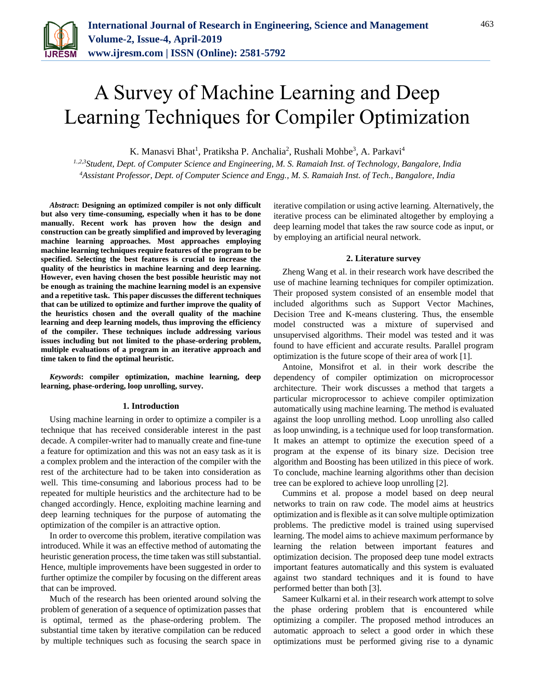

# A Survey of Machine Learning and Deep Learning Techniques for Compiler Optimization

K. Manasvi Bhat<sup>1</sup>, Pratiksha P. Anchalia<sup>2</sup>, Rushali Mohbe<sup>3</sup>, A. Parkavi<sup>4</sup>

*1.,2,3Student, Dept. of Computer Science and Engineering, M. S. Ramaiah Inst. of Technology, Bangalore, India <sup>4</sup>Assistant Professor, Dept. of Computer Science and Engg., M. S. Ramaiah Inst. of Tech., Bangalore, India*

*Abstract***: Designing an optimized compiler is not only difficult but also very time-consuming, especially when it has to be done manually. Recent work has proven how the design and construction can be greatly simplified and improved by leveraging machine learning approaches. Most approaches employing machine learning techniques require features of the program to be specified. Selecting the best features is crucial to increase the quality of the heuristics in machine learning and deep learning. However, even having chosen the best possible heuristic may not be enough as training the machine learning model is an expensive and a repetitive task. This paper discusses the different techniques that can be utilized to optimize and further improve the quality of the heuristics chosen and the overall quality of the machine learning and deep learning models, thus improving the efficiency of the compiler. These techniques include addressing various issues including but not limited to the phase-ordering problem, multiple evaluations of a program in an iterative approach and time taken to find the optimal heuristic.**

*Keywords***: compiler optimization, machine learning, deep learning, phase-ordering, loop unrolling, survey.**

#### **1. Introduction**

Using machine learning in order to optimize a compiler is a technique that has received considerable interest in the past decade. A compiler-writer had to manually create and fine-tune a feature for optimization and this was not an easy task as it is a complex problem and the interaction of the compiler with the rest of the architecture had to be taken into consideration as well. This time-consuming and laborious process had to be repeated for multiple heuristics and the architecture had to be changed accordingly. Hence, exploiting machine learning and deep learning techniques for the purpose of automating the optimization of the compiler is an attractive option.

In order to overcome this problem, iterative compilation was introduced. While it was an effective method of automating the heuristic generation process, the time taken was still substantial. Hence, multiple improvements have been suggested in order to further optimize the compiler by focusing on the different areas that can be improved.

Much of the research has been oriented around solving the problem of generation of a sequence of optimization passes that is optimal, termed as the phase-ordering problem. The substantial time taken by iterative compilation can be reduced by multiple techniques such as focusing the search space in iterative compilation or using active learning. Alternatively, the iterative process can be eliminated altogether by employing a deep learning model that takes the raw source code as input, or by employing an artificial neural network.

## **2. Literature survey**

Zheng Wang et al. in their research work have described the use of machine learning techniques for compiler optimization. Their proposed system consisted of an ensemble model that included algorithms such as Support Vector Machines, Decision Tree and K-means clustering. Thus, the ensemble model constructed was a mixture of supervised and unsupervised algorithms. Their model was tested and it was found to have efficient and accurate results. Parallel program optimization is the future scope of their area of work [1].

Antoine, Monsifrot et al. in their work describe the dependency of compiler optimization on microprocessor architecture. Their work discusses a method that targets a particular microprocessor to achieve compiler optimization automatically using machine learning. The method is evaluated against the loop unrolling method. Loop unrolling also called as loop unwinding, is a technique used for loop transformation. It makes an attempt to optimize the execution speed of a program at the expense of its binary size. Decision tree algorithm and Boosting has been utilized in this piece of work. To conclude, machine learning algorithms other than decision tree can be explored to achieve loop unrolling [2].

Cummins et al. propose a model based on deep neural networks to train on raw code. The model aims at heustrics optimization and is flexible as it can solve multiple optimization problems. The predictive model is trained using supervised learning. The model aims to achieve maximum performance by learning the relation between important features and optimization decision. The proposed deep tune model extracts important features automatically and this system is evaluated against two standard techniques and it is found to have performed better than both [3].

Sameer Kulkarni et al. in their research work attempt to solve the phase ordering problem that is encountered while optimizing a compiler. The proposed method introduces an automatic approach to select a good order in which these optimizations must be performed giving rise to a dynamic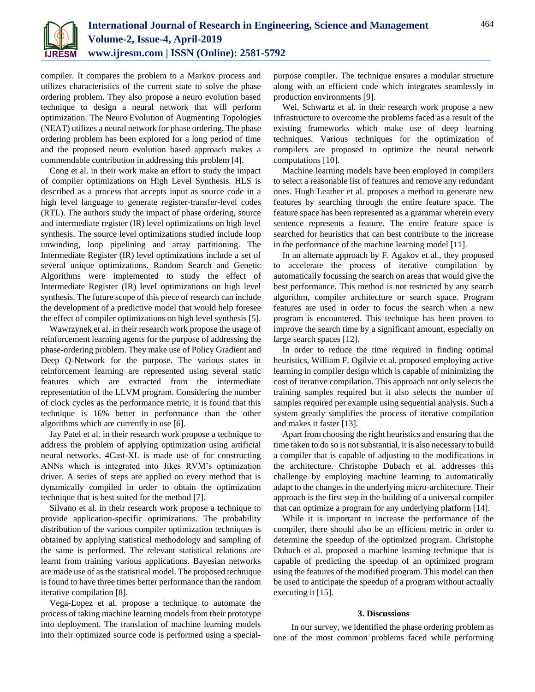

compiler. It compares the problem to a Markov process and utilizes characteristics of the current state to solve the phase ordering problem. They also propose a neuro evolution based technique to design a neural network that will perform optimization. The Neuro Evolution of Augmenting Topologies (NEAT) utilizes a neural network for phase ordering. The phase ordering problem has been explored for a long period of time and the proposed neuro evolution based approach makes a commendable contribution in addressing this problem [4].

Cong et al. in their work make an effort to study the impact of compiler optimizations on High Level Synthesis. HLS is described as a process that accepts input as source code in a high level language to generate register-transfer-level codes (RTL). The authors study the impact of phase ordering, source and intermediate register (IR) level optimizations on high level synthesis. The source level optimizations studied include loop unwinding, loop pipelining and array partitioning. The Intermediate Register (IR) level optimizations include a set of several unique optimizations. Random Search and Genetic Algorithms were implemented to study the effect of Intermediate Register (IR) level optimizations on high level synthesis. The future scope of this piece of research can include the development of a predictive model that would help foresee the effect of compiler optimizations on high level synthesis [5].

Wawrzynek et al. in their research work propose the usage of reinforcement learning agents for the purpose of addressing the phase-ordering problem. They make use of Policy Gradient and Deep Q-Network for the purpose. The various states in reinforcement learning are represented using several static features which are extracted from the intermediate representation of the LLVM program. Considering the number of clock cycles as the performance metric, it is found that this technique is 16% better in performance than the other algorithms which are currently in use [6].

Jay Patel et al. in their research work propose a technique to address the problem of applying optimization using artificial neural networks. 4Cast-XL is made use of for constructing ANNs which is integrated into Jikes RVM's optimization driver. A series of steps are applied on every method that is dynamically compiled in order to obtain the optimization technique that is best suited for the method [7].

Silvano et al. in their research work propose a technique to provide application-specific optimizations. The probability distribution of the various compiler optimization techniques is obtained by applying statistical methodology and sampling of the same is performed. The relevant statistical relations are learnt from training various applications. Bayesian networks are made use of as the statistical model. The proposed technique is found to have three times better performance than the random iterative compilation [8].

Vega-Lopez et al. propose a technique to automate the process of taking machine learning models from their prototype into deployment. The translation of machine learning models into their optimized source code is performed using a specialpurpose compiler. The technique ensures a modular structure along with an efficient code which integrates seamlessly in production environments [9].

Wei, Schwartz et al. in their research work propose a new infrastructure to overcome the problems faced as a result of the existing frameworks which make use of deep learning techniques. Various techniques for the optimization of compilers are proposed to optimize the neural network computations [10].

Machine learning models have been employed in compilers to select a reasonable list of features and remove any redundant ones. Hugh Leather et al. proposes a method to generate new features by searching through the entire feature space. The feature space has been represented as a grammar wherein every sentence represents a feature. The entire feature space is searched for heuristics that can best contribute to the increase in the performance of the machine learning model [11].

In an alternate approach by F. Agakov et al., they proposed to accelerate the process of iterative compilation by automatically focussing the search on areas that would give the best performance. This method is not restricted by any search algorithm, compiler architecture or search space. Program features are used in order to focus the search when a new program is encountered. This technique has been proven to improve the search time by a significant amount, especially on large search spaces [12].

In order to reduce the time required in finding optimal heuristics, William F. Ogilvie et al. proposed employing active learning in compiler design which is capable of minimizing the cost of iterative compilation. This approach not only selects the training samples required but it also selects the number of samples required per example using sequential analysis. Such a system greatly simplifies the process of iterative compilation and makes it faster [13].

Apart from choosing the right heuristics and ensuring that the time taken to do so is not substantial, it is also necessary to build a compiler that is capable of adjusting to the modifications in the architecture. Christophe Dubach et al. addresses this challenge by employing machine learning to automatically adapt to the changes in the underlying micro-architecture. Their approach is the first step in the building of a universal compiler that can optimize a program for any underlying platform [14].

While it is important to increase the performance of the compiler, there should also be an efficient metric in order to determine the speedup of the optimized program. Christophe Dubach et al. proposed a machine learning technique that is capable of predicting the speedup of an optimized program using the features of the modified program. This model can then be used to anticipate the speedup of a program without actually executing it [15].

## **3. Discussions**

In our survey, we identified the phase ordering problem as one of the most common problems faced while performing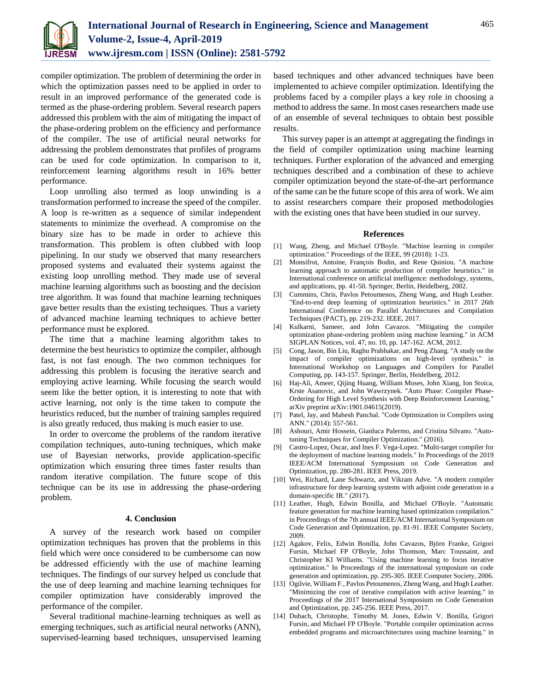

compiler optimization. The problem of determining the order in which the optimization passes need to be applied in order to result in an improved performance of the generated code is termed as the phase-ordering problem. Several research papers addressed this problem with the aim of mitigating the impact of the phase-ordering problem on the efficiency and performance of the compiler. The use of artificial neural networks for addressing the problem demonstrates that profiles of programs can be used for code optimization. In comparison to it, reinforcement learning algorithms result in 16% better performance.

Loop unrolling also termed as loop unwinding is a transformation performed to increase the speed of the compiler. A loop is re-written as a sequence of similar independent statements to minimize the overhead. A compromise on the binary size has to be made in order to achieve this transformation. This problem is often clubbed with loop pipelining. In our study we observed that many researchers proposed systems and evaluated their systems against the existing loop unrolling method. They made use of several machine learning algorithms such as boosting and the decision tree algorithm. It was found that machine learning techniques gave better results than the existing techniques. Thus a variety of advanced machine learning techniques to achieve better performance must be explored.

The time that a machine learning algorithm takes to determine the best heuristics to optimize the compiler, although fast, is not fast enough. The two common techniques for addressing this problem is focusing the iterative search and employing active learning. While focusing the search would seem like the better option, it is interesting to note that with active learning, not only is the time taken to compute the heuristics reduced, but the number of training samples required is also greatly reduced, thus making is much easier to use.

In order to overcome the problems of the random iterative compilation techniques, auto-tuning techniques, which make use of Bayesian networks, provide application-specific optimization which ensuring three times faster results than random iterative compilation. The future scope of this technique can be its use in addressing the phase-ordering problem.

### **4. Conclusion**

A survey of the research work based on compiler optimization techniques has proven that the problems in this field which were once considered to be cumbersome can now be addressed efficiently with the use of machine learning techniques. The findings of our survey helped us conclude that the use of deep learning and machine learning techniques for compiler optimization have considerably improved the performance of the compiler.

Several traditional machine-learning techniques as well as emerging techniques, such as artificial neural networks (ANN), supervised-learning based techniques, unsupervised learning

based techniques and other advanced techniques have been implemented to achieve compiler optimization. Identifying the problems faced by a compiler plays a key role in choosing a method to address the same. In most cases researchers made use of an ensemble of several techniques to obtain best possible results.

This survey paper is an attempt at aggregating the findings in the field of compiler optimization using machine learning techniques. Further exploration of the advanced and emerging techniques described and a combination of these to achieve compiler optimization beyond the state-of-the-art performance of the same can be the future scope of this area of work. We aim to assist researchers compare their proposed methodologies with the existing ones that have been studied in our survey.

#### **References**

- [1] Wang, Zheng, and Michael O'Boyle. "Machine learning in compiler optimization." Proceedings of the IEEE, 99 (2018): 1-23.
- [2] Monsifrot, Antoine, François Bodin, and Rene Quiniou. "A machine learning approach to automatic production of compiler heuristics." in International conference on artificial intelligence: methodology, systems, and applications, pp. 41-50. Springer, Berlin, Heidelberg, 2002.
- [3] Cummins, Chris, Pavlos Petoumenos, Zheng Wang, and Hugh Leather. "End-to-end deep learning of optimization heuristics." in 2017 26th International Conference on Parallel Architectures and Compilation Techniques (PACT), pp. 219-232. IEEE, 2017.
- [4] Kulkarni, Sameer, and John Cavazos. "Mitigating the compiler optimization phase-ordering problem using machine learning." in ACM SIGPLAN Notices, vol. 47, no. 10, pp. 147-162. ACM, 2012.
- [5] Cong, Jason, Bin Liu, Raghu Prabhakar, and Peng Zhang. "A study on the impact of compiler optimizations on high-level synthesis." in International Workshop on Languages and Compilers for Parallel Computing, pp. 143-157. Springer, Berlin, Heidelberg, 2012.
- [6] Haj-Ali, Ameer, Qijing Huang, William Moses, John Xiang, Ion Stoica, Krste Asanovic, and John Wawrzynek. "Auto Phase: Compiler Phase-Ordering for High Level Synthesis with Deep Reinforcement Learning." arXiv preprint arXiv:1901.04615(2019).
- [7] Patel, Jay, and Mahesh Panchal. "Code Optimization in Compilers using ANN." (2014): 557-561.
- [8] Ashouri, Amir Hossein, Gianluca Palermo, and Cristina Silvano. "Autotuning Techniques for Compiler Optimization." (2016).
- [9] Castro-Lopez, Oscar, and Ines F. Vega-Lopez. "Multi-target compiler for the deployment of machine learning models." In Proceedings of the 2019 IEEE/ACM International Symposium on Code Generation and Optimization, pp. 280-281. IEEE Press, 2019.
- [10] Wei, Richard, Lane Schwartz, and Vikram Adve. "A modern compiler infrastructure for deep learning systems with adjoint code generation in a domain-specific IR." (2017).
- [11] Leather, Hugh, Edwin Bonilla, and Michael O'Boyle. "Automatic feature generation for machine learning based optimization compilation." in Proceedings of the 7th annual IEEE/ACM International Symposium on Code Generation and Optimization, pp. 81-91. IEEE Computer Society, 2009.
- [12] Agakov, Felix, Edwin Bonilla, John Cavazos, Björn Franke, Grigori Fursin, Michael FP O'Boyle, John Thomson, Marc Toussaint, and Christopher KI Williams. "Using machine learning to focus iterative optimization." In Proceedings of the international symposium on code generation and optimization, pp. 295-305. IEEE Computer Society, 2006.
- [13] Ogilvie, William F., Pavlos Petoumenos, Zheng Wang, and Hugh Leather. "Minimizing the cost of iterative compilation with active learning." in Proceedings of the 2017 International Symposium on Code Generation and Optimization, pp. 245-256. IEEE Press, 2017.
- [14] Dubach, Christophe, Timothy M. Jones, Edwin V. Bonilla, Grigori Fursin, and Michael FP O'Boyle. "Portable compiler optimization across embedded programs and microarchitectures using machine learning." in